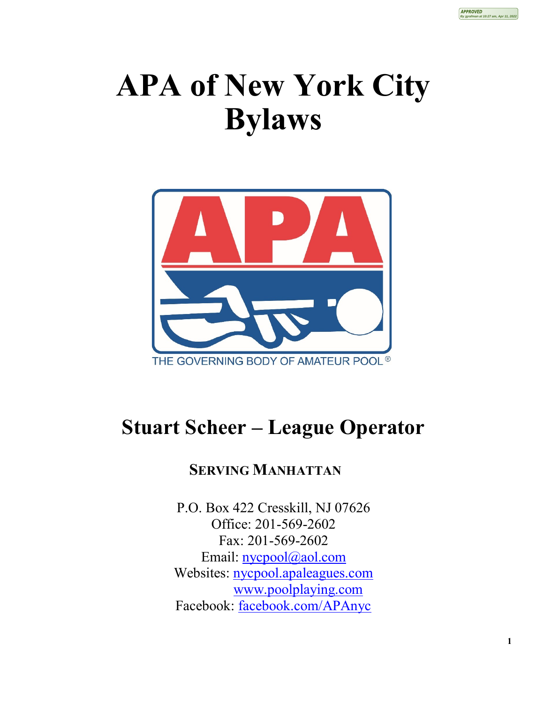

## **APA of New York City Bylaws**



## **Stuart Scheer – League Operator**

## **SERVING MANHATTAN**

P.O. Box 422 Cresskill, NJ 07626 Office: 201-569-2602 Fax: 201-569-2602 Email: [nycpool@aol.com](mailto:nycpool@aol.com) Websites: [nycpool.apaleagues.com](https://nycpool.apaleagues.com/Default.aspx) [www.poolplaying.com](http://www.poolplaying.com/) Facebook: [facebook.com/APAnyc](https://www.facebook.com/APAnyc)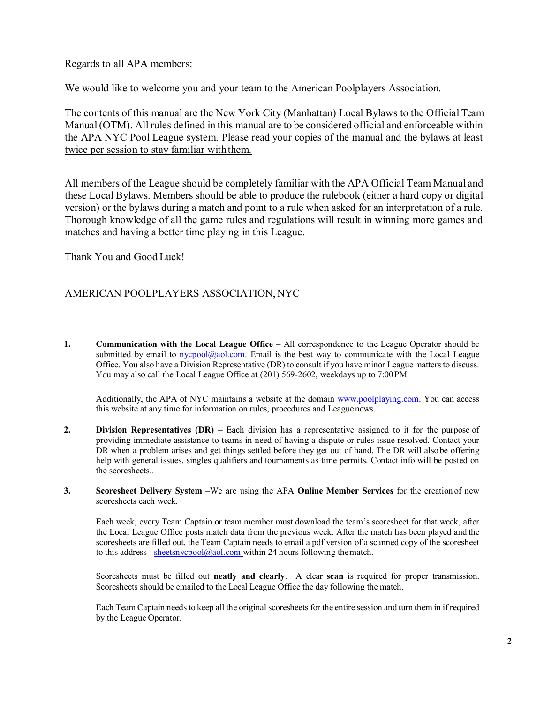Regards to all APA members:

We would like to welcome you and your team to the American Poolplayers Association.

The contents of this manual are the New York City (Manhattan) Local Bylaws to the Official Team Manual (OTM). All rules defined in this manual are to be considered official and enforceable within the APA NYC Pool League system. Please read your copies of the manual and the bylaws at least twice per session to stay familiar with them.

All members of the League should be completely familiar with the APA Official Team Manual and these Local Bylaws. Members should be able to produce the rulebook (either a hard copy or digital version) or the bylaws during a match and point to a rule when asked for an interpretation of a rule. Thorough knowledge of all the game rules and regulations will result in winning more games and matches and having a better time playing in this League.

Thank You and Good Luck!

## AMERICAN POOLPLAYERS ASSOCIATION, NYC

**1. Communication with the Local League Office** – All correspondence to the League Operator should be submitted by email to  $nycpool(Qaol.com)$ . Email is the best way to communicate with the Local League Office. You also have a Division Representative (DR) to consult if you have minor League matters to discuss. You may also call the Local League Office at (201) 569-2602, weekdays up to 7:00PM.

Additionally, the APA of NYC maintains a website at the domain [www.poolplaying.com. Y](http://www.poolplaying.com/)ou can access this website at any time for information on rules, procedures and Leaguenews.

- **2. Division Representatives (DR)**  Each division has a representative assigned to it for the purpose of providing immediate assistance to teams in need of having a dispute or rules issue resolved. Contact your DR when a problem arises and get things settled before they get out of hand. The DR will also be offering help with general issues, singles qualifiers and tournaments as time permits. Contact info will be posted on the scoresheets..
- **3. Scoresheet Delivery System** –We are using the APA **Online Member Services** for the creation of new scoresheets each week.

Each week, every Team Captain or team member must download the team's scoresheet for that week, after the Local League Office posts match data from the previous week. After the match has been played and the scoresheets are filled out, the Team Captain needs to email a pdf version of a scanned copy of the scoresheet to this address -  $\frac{\text{sheetsnycpool}(Q,\text{aol.com})}{\text{within 24 hours following the match.}}$ 

Scoresheets must be filled out **neatly and clearly**. A clear **scan** is required for proper transmission. Scoresheets should be emailed to the Local League Office the day following the match.

Each Team Captain needs to keep all the original scoresheets for the entire session and turn them in if required by the League Operator.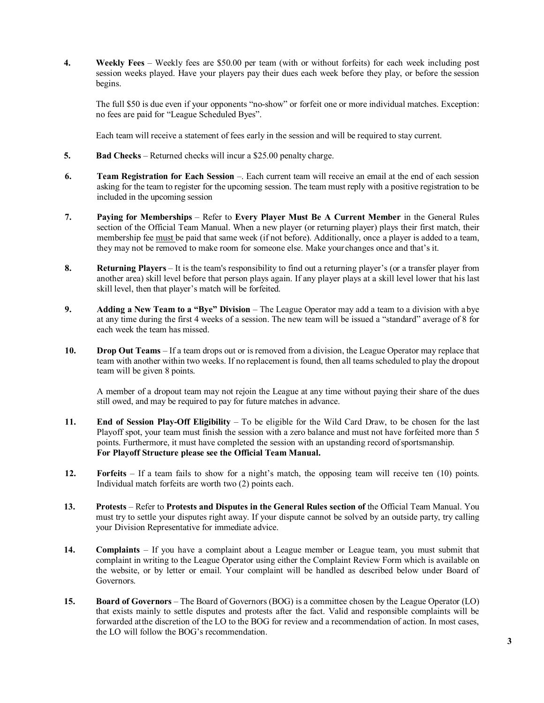**4. Weekly Fees** – Weekly fees are \$50.00 per team (with or without forfeits) for each week including post session weeks played. Have your players pay their dues each week before they play, or before the session begins.

The full \$50 is due even if your opponents "no-show" or forfeit one or more individual matches. Exception: no fees are paid for "League Scheduled Byes".

Each team will receive a statement of fees early in the session and will be required to stay current.

- **5. Bad Checks** Returned checks will incur a \$25.00 penalty charge.
- **6. Team Registration for Each Session** –. Each current team will receive an email at the end of each session asking for the team to register for the upcoming session. The team must reply with a positive registration to be included in the upcoming session
- **7. Paying for Memberships** Refer to **Every Player Must Be A Current Member** in the General Rules section of the Official Team Manual. When a new player (or returning player) plays their first match, their membership fee must be paid that same week (if not before). Additionally, once a player is added to a team, they may not be removed to make room for someone else. Make your changes once and that's it.
- **8. Returning Players** It is the team's responsibility to find out a returning player's (or a transfer player from another area) skill level before that person plays again. If any player plays at a skill level lower that his last skill level, then that player's match will be forfeited.
- **9. Adding a New Team to a "Bye" Division**  The League Operator may add a team to a division with a bye at any time during the first 4 weeks of a session. The new team will be issued a "standard" average of 8 for each week the team has missed.
- **10. Drop Out Teams** If a team drops out or is removed from a division, the League Operator may replace that team with another within two weeks. If no replacement is found, then all teams scheduled to play the dropout team will be given 8 points.

A member of a dropout team may not rejoin the League at any time without paying their share of the dues still owed, and may be required to pay for future matches in advance.

- **11. End of Session Play-Off Eligibility**  To be eligible for the Wild Card Draw, to be chosen for the last Playoff spot, your team must finish the session with a zero balance and must not have forfeited more than 5 points. Furthermore, it must have completed the session with an upstanding record of sportsmanship. **For Playoff Structure please see the Official Team Manual.**
- **12. Forfeits** If a team fails to show for a night's match, the opposing team will receive ten (10) points. Individual match forfeits are worth two (2) points each.
- **13. Protests**  Refer to **Protests and Disputes in the General Rules section of** the Official Team Manual. You must try to settle your disputes right away. If your dispute cannot be solved by an outside party, try calling your Division Representative for immediate advice.
- **14. Complaints** If you have a complaint about a League member or League team, you must submit that complaint in writing to the League Operator using either the Complaint Review Form which is available on the website, or by letter or email. Your complaint will be handled as described below under Board of Governors.
- **15. Board of Governors** The Board of Governors (BOG) is a committee chosen by the League Operator (LO) that exists mainly to settle disputes and protests after the fact. Valid and responsible complaints will be forwarded atthe discretion of the LO to the BOG for review and a recommendation of action. In most cases, the LO will follow the BOG's recommendation.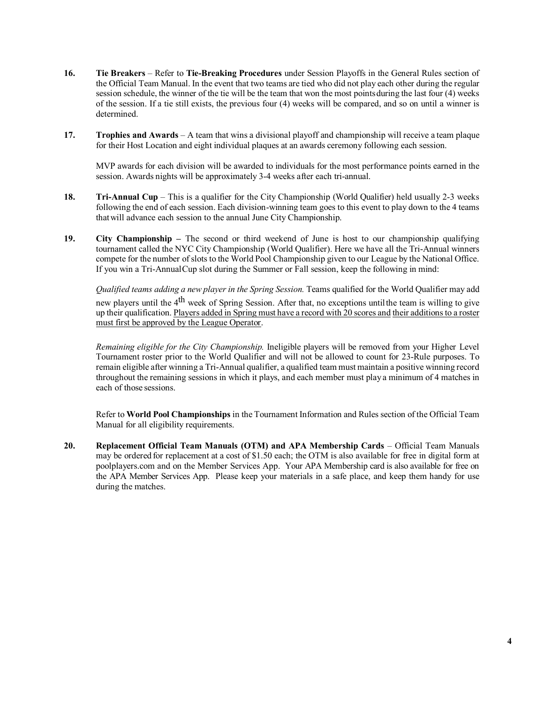- **16. Tie Breakers** Refer to **Tie-Breaking Procedures** under Session Playoffs in the General Rules section of the Official Team Manual. In the event that two teams are tied who did not play each other during the regular session schedule, the winner of the tie will be the team that won the most pointsduring the last four (4) weeks of the session. If a tie still exists, the previous four (4) weeks will be compared, and so on until a winner is determined.
- **17. Trophies and Awards**  A team that wins a divisional playoff and championship will receive a team plaque for their Host Location and eight individual plaques at an awards ceremony following each session.

MVP awards for each division will be awarded to individuals for the most performance points earned in the session. Awards nights will be approximately 3-4 weeks after each tri-annual.

- **18. Tri-Annual Cup** This is a qualifier for the City Championship (World Qualifier) held usually 2-3 weeks following the end of each session. Each division-winning team goes to this event to play down to the 4 teams thatwill advance each session to the annual June City Championship.
- **19. City Championship –** The second or third weekend of June is host to our championship qualifying tournament called the NYC City Championship (World Qualifier). Here we have all the Tri-Annual winners compete for the number of slots to the World Pool Championship given to our League by the National Office. If you win a Tri-AnnualCup slot during the Summer or Fall session, keep the following in mind:

*Qualified teams adding a new player in the Spring Session.* Teams qualified for the World Qualifier may add new players until the 4<sup>th</sup> week of Spring Session. After that, no exceptions until the team is willing to give up their qualification. Players added in Spring must have a record with 20 scores and their additionsto a roster must first be approved by the League Operator.

*Remaining eligible for the City Championship.* Ineligible players will be removed from your Higher Level Tournament roster prior to the World Qualifier and will not be allowed to count for 23-Rule purposes. To remain eligible after winning a Tri-Annual qualifier, a qualified team must maintain a positive winning record throughout the remaining sessions in which it plays, and each member must play a minimum of 4 matches in each of those sessions.

Refer to **World Pool Championships** in the Tournament Information and Rules section of the Official Team Manual for all eligibility requirements.

**20. Replacement Official Team Manuals (OTM) and APA Membership Cards** – Official Team Manuals may be ordered for replacement at a cost of \$1.50 each; the OTM is also available for free in digital form at poolplayers.com and on the Member Services App. Your APA Membership card is also available for free on the APA Member Services App. Please keep your materials in a safe place, and keep them handy for use during the matches.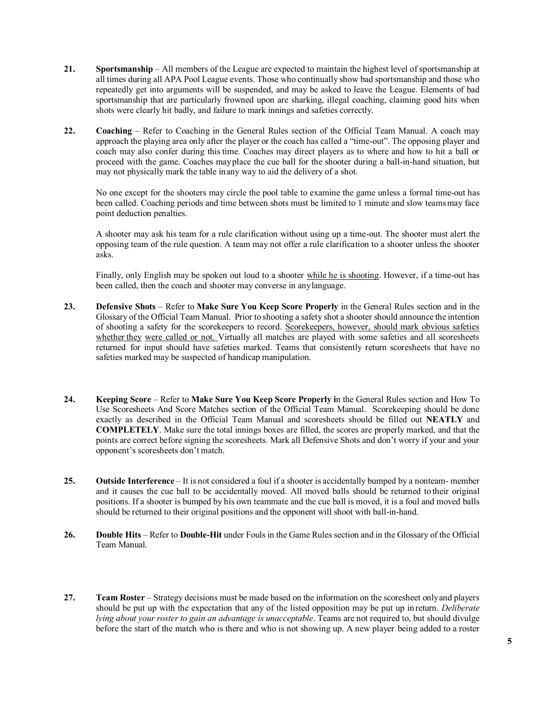- **21. Sportsmanship** All members of the League are expected to maintain the highest level of sportsmanship at all times during all APA Pool League events. Those who continually show bad sportsmanship and those who repeatedly get into arguments will be suspended, and may be asked to leave the League. Elements of bad sportsmanship that are particularly frowned upon are sharking, illegal coaching, claiming good hits when shots were clearly hit badly, and failure to mark innings and safeties correctly.
- **22. Coaching**  Refer to Coaching in the General Rules section of the Official Team Manual. A coach may approach the playing area only after the player or the coach has called a "time-out". The opposing player and coach may also confer during this time. Coaches may direct players as to where and how to hit a ball or proceed with the game. Coaches mayplace the cue ball for the shooter during a ball-in-hand situation, but may not physically mark the table inany way to aid the delivery of a shot.

No one except for the shooters may circle the pool table to examine the game unless a formal time-out has been called. Coaching periods and time between shots must be limited to 1 minute and slow teamsmay face point deduction penalties.

A shooter may ask his team for a rule clarification without using up a time-out. The shooter must alert the opposing team of the rule question. A team may not offer a rule clarification to a shooter unless the shooter asks.

Finally, only English may be spoken out loud to a shooter while he is shooting. However, if a time-out has been called, then the coach and shooter may converse in anylanguage.

- **23. Defensive Shots** Refer to **Make Sure You Keep Score Properly** in the General Rules section and in the Glossary of the Official Team Manual. Prior to shooting a safety shot a shooter should announce the intention of shooting a safety for the scorekeepers to record. Scorekeepers, however, should mark obvious safeties whether they were called or not. Virtually all matches are played with some safeties and all scoresheets returned for input should have safeties marked. Teams that consistently return scoresheets that have no safeties marked may be suspected of handicap manipulation.
- **24. Keeping Score**  Refer to **Make Sure You Keep Score Properly i**n the General Rules section and How To Use Scoresheets And Score Matches section of the Official Team Manual. Scorekeeping should be done exactly as described in the Official Team Manual and scoresheets should be filled out **NEATLY** and **COMPLETELY**. Make sure the total innings boxes are filled, the scores are properly marked, and that the points are correct before signing the scoresheets. Mark all Defensive Shots and don't worry if your and your opponent's scoresheets don't match.
- **25. Outside Interference**  It is not considered a foul if a shooter is accidentally bumped by a nonteam- member and it causes the cue ball to be accidentally moved. All moved balls should be returned to their original positions. If a shooter is bumped by his own teammate and the cue ball is moved, it is a foul and moved balls should be returned to their original positions and the opponent will shoot with ball-in-hand.
- **26. Double Hits**  Refer to **Double-Hit** under Fouls in the Game Rules section and in the Glossary of the Official Team Manual.
- **27. Team Roster**  Strategy decisions must be made based on the information on the scoresheet onlyand players should be put up with the expectation that any of the listed opposition may be put up in return. *Deliberate lying about your roster to gain an advantage is unacceptable*. Teams are not required to, but should divulge before the start of the match who is there and who is not showing up. A new player being added to a roster